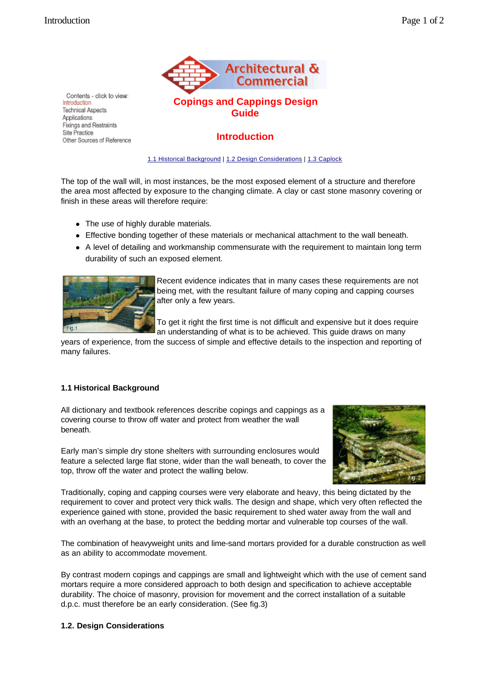

**Copings and Cappings Design Guide**

## **Introduction**

1.1 Historical Background | 1.2 Design Considerations | 1.3 Caplock

The top of the wall will, in most instances, be the most exposed element of a structure and therefore the area most affected by exposure to the changing climate. A clay or cast stone masonry covering or finish in these areas will therefore require:

- The use of highly durable materials.
- Effective bonding together of these materials or mechanical attachment to the wall beneath.
- A level of detailing and workmanship commensurate with the requirement to maintain long term durability of such an exposed element.



Recent evidence indicates that in many cases these requirements are not being met, with the resultant failure of many coping and capping courses after only a few years.

To get it right the first time is not difficult and expensive but it does require an understanding of what is to be achieved. This guide draws on many

years of experience, from the success of simple and effective details to the inspection and reporting of many failures.

## **1.1 Historical Background**

All dictionary and textbook references describe copings and cappings as a covering course to throw off water and protect from weather the wall beneath.



Early man's simple dry stone shelters with surrounding enclosures would feature a selected large flat stone, wider than the wall beneath, to cover the top, throw off the water and protect the walling below.

Traditionally, coping and capping courses were very elaborate and heavy, this being dictated by the requirement to cover and protect very thick walls. The design and shape, which very often reflected the experience gained with stone, provided the basic requirement to shed water away from the wall and with an overhang at the base, to protect the bedding mortar and vulnerable top courses of the wall.

The combination of heavyweight units and lime-sand mortars provided for a durable construction as well as an ability to accommodate movement.

By contrast modern copings and cappings are small and lightweight which with the use of cement sand mortars require a more considered approach to both design and specification to achieve acceptable durability. The choice of masonry, provision for movement and the correct installation of a suitable d.p.c. must therefore be an early consideration. (See fig.3)

## **1.2. Design Considerations**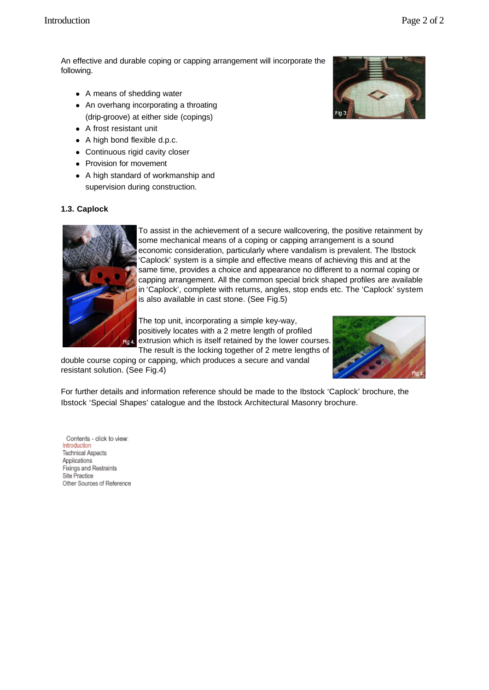An effective and durable coping or capping arrangement will incorporate the following.

- A means of shedding water
- An overhang incorporating a throating (drip-groove) at either side (copings)
- $\bullet$  A frost resistant unit
- $\bullet$  A high bond flexible d.p.c.
- Continuous rigid cavity closer
- Provision for movement
- A high standard of workmanship and supervision during construction.



## **1.3. Caplock**



To assist in the achievement of a secure wallcovering, the positive retainment by some mechanical means of a coping or capping arrangement is a sound economic consideration, particularly where vandalism is prevalent. The Ibstock 'Caplock' system is a simple and effective means of achieving this and at the same time, provides a choice and appearance no different to a normal coping or capping arrangement. All the common special brick shaped profiles are available in 'Caplock', complete with returns, angles, stop ends etc. The 'Caplock' system is also available in cast stone. (See Fig.5)

The top unit, incorporating a simple key-way, positively locates with a 2 metre length of profiled extrusion which is itself retained by the lower courses. The result is the locking together of 2 metre lengths of

double course coping or capping, which produces a secure and vandal resistant solution. (See Fig.4)



For further details and information reference should be made to the Ibstock 'Caplock' brochure, the Ibstock 'Special Shapes' catalogue and the Ibstock Architectural Masonry brochure.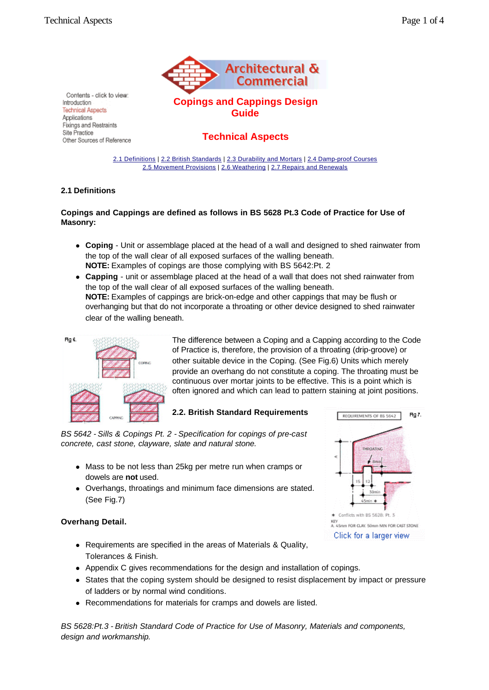Introduction<sup>1</sup> **Technical Aspects** Applications Fixings and Restraints Site Practice



**Copings and Cappings Design Guide**

## **Technical Aspects**

2.1 Definitions | 2.2 British Standards | 2.3 Durability and Mortars | 2.4 Damp-proof Courses 2.5 Movement Provisions | 2.6 Weathering | 2.7 Repairs and Renewals

## **2.1 Definitions**

Contents - click to view:

Other Sources of Reference

## **Copings and Cappings are defined as follows in BS 5628 Pt.3 Code of Practice for Use of Masonry:**

- **Coping** Unit or assemblage placed at the head of a wall and designed to shed rainwater from the top of the wall clear of all exposed surfaces of the walling beneath. **NOTE:** Examples of copings are those complying with BS 5642:Pt. 2
- Capping unit or assemblage placed at the head of a wall that does not shed rainwater from the top of the wall clear of all exposed surfaces of the walling beneath. **NOTE:** Examples of cappings are brick-on-edge and other cappings that may be flush or overhanging but that do not incorporate a throating or other device designed to shed rainwater clear of the walling beneath.



The difference between a Coping and a Capping according to the Code of Practice is, therefore, the provision of a throating (drip-groove) or other suitable device in the Coping. (See Fig.6) Units which merely provide an overhang do not constitute a coping. The throating must be continuous over mortar joints to be effective. This is a point which is often ignored and which can lead to pattern staining at joint positions.

## **2.2. British Standard Requirements**

*BS 5642 - Sills & Copings Pt. 2 - Specification for copings of pre-cast concrete, cast stone, clayware, slate and natural stone.*

- Mass to be not less than 25kg per metre run when cramps or dowels are **not** used.
- Overhangs, throatings and minimum face dimensions are stated. (See Fig.7)

## **Overhang Detail.**

- Requirements are specified in the areas of Materials & Quality, Tolerances & Finish.
- Appendix C gives recommendations for the design and installation of copings.
- States that the coping system should be designed to resist displacement by impact or pressure of ladders or by normal wind conditions.
- Recommendations for materials for cramps and dowels are listed.

*BS 5628:Pt.3 - British Standard Code of Practice for Use of Masonry, Materials and components, design and workmanship.*

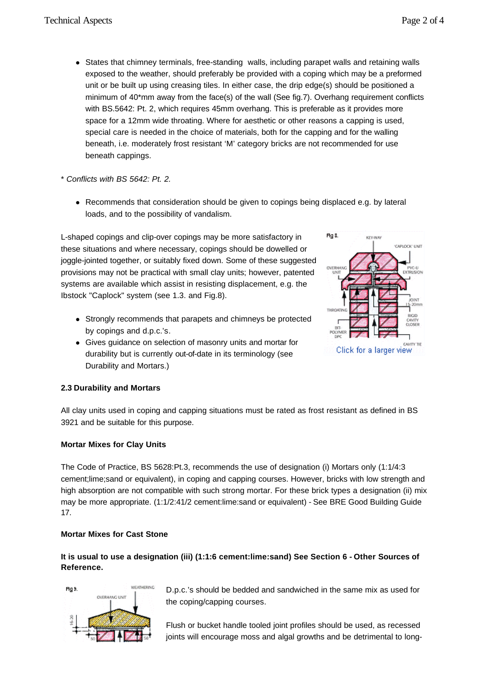- States that chimney terminals, free-standing walls, including parapet walls and retaining walls exposed to the weather, should preferably be provided with a coping which may be a preformed unit or be built up using creasing tiles. In either case, the drip edge(s) should be positioned a minimum of 40\*mm away from the face(s) of the wall (See fig.7). Overhang requirement conflicts with BS.5642: Pt. 2, which requires 45mm overhang. This is preferable as it provides more space for a 12mm wide throating. Where for aesthetic or other reasons a capping is used, special care is needed in the choice of materials, both for the capping and for the walling beneath, i.e. moderately frost resistant 'M' category bricks are not recommended for use beneath cappings.
- \* *Conflicts with BS 5642: Pt. 2.*
	- Recommends that consideration should be given to copings being displaced e.g. by lateral loads, and to the possibility of vandalism.

L-shaped copings and clip-over copings may be more satisfactory in these situations and where necessary, copings should be dowelled or joggle-jointed together, or suitably fixed down. Some of these suggested provisions may not be practical with small clay units; however, patented systems are available which assist in resisting displacement, e.g. the Ibstock "Caplock" system (see 1.3. and Fig.8).

- Strongly recommends that parapets and chimneys be protected by copings and d.p.c.'s.
- Gives guidance on selection of masonry units and mortar for durability but is currently out-of-date in its terminology (see Durability and Mortars.)



## **2.3 Durability and Mortars**

All clay units used in coping and capping situations must be rated as frost resistant as defined in BS 3921 and be suitable for this purpose.

## **Mortar Mixes for Clay Units**

The Code of Practice, BS 5628:Pt.3, recommends the use of designation (i) Mortars only (1:1/4:3 cement;lime;sand or equivalent), in coping and capping courses. However, bricks with low strength and high absorption are not compatible with such strong mortar. For these brick types a designation (ii) mix may be more appropriate. (1:1/2:41/2 cement:lime:sand or equivalent) - See BRE Good Building Guide 17.

## **Mortar Mixes for Cast Stone**

**It is usual to use a designation (iii) (1:1:6 cement:lime:sand) See Section 6 - Other Sources of Reference.**



D.p.c.'s should be bedded and sandwiched in the same mix as used for the coping/capping courses.

Flush or bucket handle tooled joint profiles should be used, as recessed joints will encourage moss and algal growths and be detrimental to long-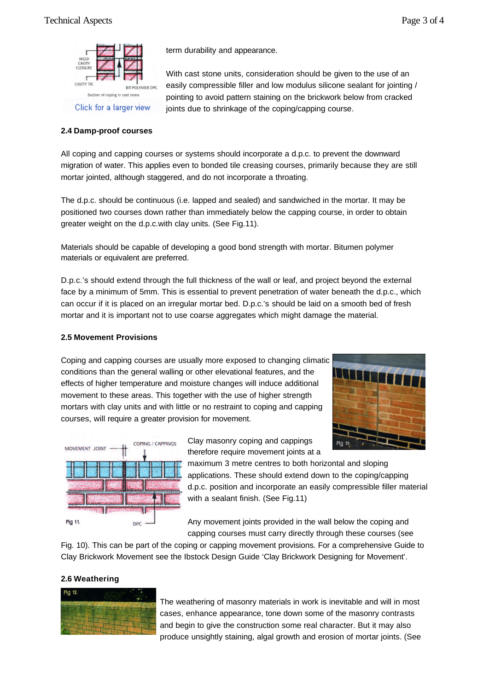

## **2.4 Damp-proof courses**

term durability and appearance.

With cast stone units, consideration should be given to the use of an easily compressible filler and low modulus silicone sealant for jointing / pointing to avoid pattern staining on the brickwork below from cracked joints due to shrinkage of the coping/capping course.

All coping and capping courses or systems should incorporate a d.p.c. to prevent the downward migration of water. This applies even to bonded tile creasing courses, primarily because they are still mortar jointed, although staggered, and do not incorporate a throating.

The d.p.c. should be continuous (i.e. lapped and sealed) and sandwiched in the mortar. It may be positioned two courses down rather than immediately below the capping course, in order to obtain greater weight on the d.p.c.with clay units. (See Fig.11).

Materials should be capable of developing a good bond strength with mortar. Bitumen polymer materials or equivalent are preferred.

D.p.c.'s should extend through the full thickness of the wall or leaf, and project beyond the external face by a minimum of 5mm. This is essential to prevent penetration of water beneath the d.p.c., which can occur if it is placed on an irregular mortar bed. D.p.c.'s should be laid on a smooth bed of fresh mortar and it is important not to use coarse aggregates which might damage the material.

## **2.5 Movement Provisions**

Coping and capping courses are usually more exposed to changing climatic conditions than the general walling or other elevational features, and the effects of higher temperature and moisture changes will induce additional movement to these areas. This together with the use of higher strength mortars with clay units and with little or no restraint to coping and capping courses, will require a greater provision for movement.





Clay masonry coping and cappings therefore require movement joints at a

maximum 3 metre centres to both horizontal and sloping applications. These should extend down to the coping/capping d.p.c. position and incorporate an easily compressible filler material with a sealant finish. (See Fig.11)

Any movement joints provided in the wall below the coping and capping courses must carry directly through these courses (see

Fig. 10). This can be part of the coping or capping movement provisions. For a comprehensive Guide to Clay Brickwork Movement see the Ibstock Design Guide 'Clay Brickwork Designing for Movement'.

## **2.6 Weathering**



The weathering of masonry materials in work is inevitable and will in most cases, enhance appearance, tone down some of the masonry contrasts and begin to give the construction some real character. But it may also produce unsightly staining, algal growth and erosion of mortar joints. (See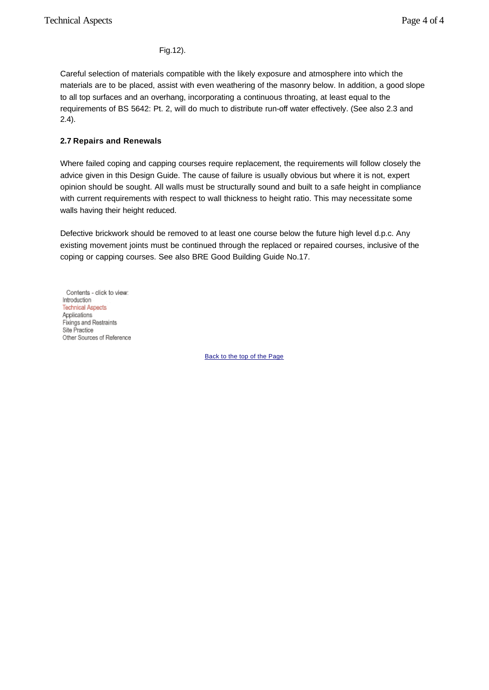Fig.12).

Careful selection of materials compatible with the likely exposure and atmosphere into which the materials are to be placed, assist with even weathering of the masonry below. In addition, a good slope to all top surfaces and an overhang, incorporating a continuous throating, at least equal to the requirements of BS 5642: Pt. 2, will do much to distribute run-off water effectively. (See also 2.3 and 2.4).

## **2.7 Repairs and Renewals**

Where failed coping and capping courses require replacement, the requirements will follow closely the advice given in this Design Guide. The cause of failure is usually obvious but where it is not, expert opinion should be sought. All walls must be structurally sound and built to a safe height in compliance with current requirements with respect to wall thickness to height ratio. This may necessitate some walls having their height reduced.

Defective brickwork should be removed to at least one course below the future high level d.p.c. Any existing movement joints must be continued through the replaced or repaired courses, inclusive of the coping or capping courses. See also BRE Good Building Guide No.17.

Contents - click to view: Introduction<sup>®</sup> **Technical Aspects** Applications Fixings and Restraints Site Practice Other Sources of Reference

Back to the top of the Page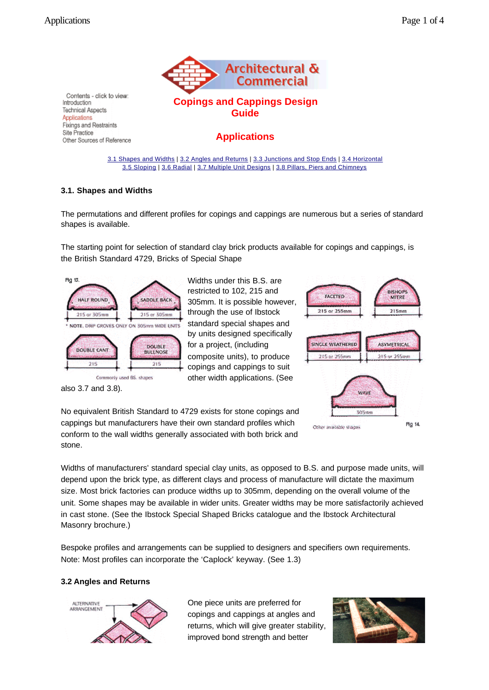

## **Applications**

3.1 Shapes and Widths | 3.2 Angles and Returns | 3.3 Junctions and Stop Ends | 3.4 Horizontal 3.5 Sloping | 3.6 Radial | 3.7 Multiple Unit Designs | 3.8 Pillars, Piers and Chimneys

## **3.1. Shapes and Widths**

The permutations and different profiles for copings and cappings are numerous but a series of standard shapes is available.

The starting point for selection of standard clay brick products available for copings and cappings, is the British Standard 4729, Bricks of Special Shape



Widths under this B.S. are restricted to 102, 215 and 305mm. It is possible however, through the use of Ibstock standard special shapes and by units designed specifically for a project, (including composite units), to produce copings and cappings to suit other width applications. (See



also 3.7 and 3.8).

No equivalent British Standard to 4729 exists for stone copings and cappings but manufacturers have their own standard profiles which conform to the wall widths generally associated with both brick and stone.

Widths of manufacturers' standard special clay units, as opposed to B.S. and purpose made units, will depend upon the brick type, as different clays and process of manufacture will dictate the maximum size. Most brick factories can produce widths up to 305mm, depending on the overall volume of the unit. Some shapes may be available in wider units. Greater widths may be more satisfactorily achieved in cast stone. (See the Ibstock Special Shaped Bricks catalogue and the Ibstock Architectural Masonry brochure.)

Bespoke profiles and arrangements can be supplied to designers and specifiers own requirements. Note: Most profiles can incorporate the 'Caplock' keyway. (See 1.3)

## **3.2 Angles and Returns**



One piece units are preferred for copings and cappings at angles and returns, which will give greater stability, improved bond strength and better

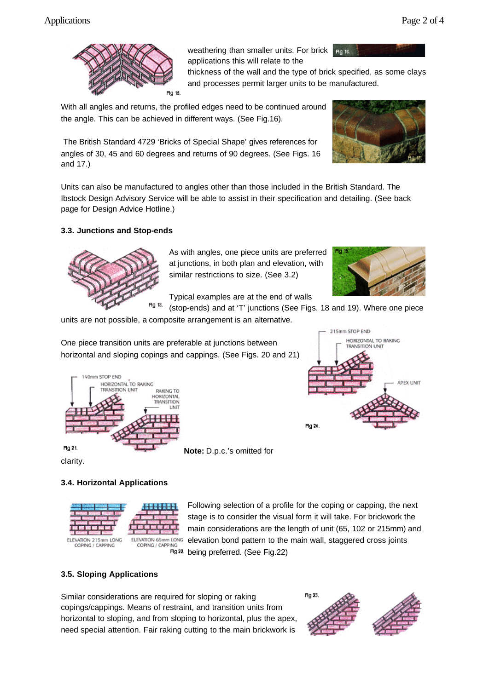

weathering than smaller units. For brick applications this will relate to the

thickness of the wall and the type of brick specified, as some clays and processes permit larger units to be manufactured.

Hg 16.

With all angles and returns, the profiled edges need to be continued around the angle. This can be achieved in different ways. (See Fig.16).

The British Standard 4729 'Bricks of Special Shape' gives references for angles of 30, 45 and 60 degrees and returns of 90 degrees. (See Figs. 16 and 17.)

Units can also be manufactured to angles other than those included in the British Standard. The Ibstock Design Advisory Service will be able to assist in their specification and detailing. (See back page for Design Advice Hotline.)

## **3.3. Junctions and Stop-ends**



As with angles, one piece units are preferred at junctions, in both plan and elevation, with similar restrictions to size. (See 3.2)

Typical examples are at the end of walls



HORIZONTAL TO RAKING **TRANSITION UNIT** 

APEX UNIT

215mm STOP END

(stop-ends) and at 'T' junctions (See Figs. 18 and 19). Where one piece

units are not possible, a composite arrangement is an alternative.

One piece transition units are preferable at junctions between horizontal and sloping copings and cappings. (See Figs. 20 and 21)



**Note:** D.p.c.'s omitted for

clarity.

## **3.4. Horizontal Applications**



Following selection of a profile for the coping or capping, the next stage is to consider the visual form it will take. For brickwork the main considerations are the length of unit (65, 102 or 215mm) and elevation bond pattern to the main wall, staggered cross joints  $Fig. 22$  being preferred. (See Fig.22)

Fig 20.

## **3.5. Sloping Applications**

Similar considerations are required for sloping or raking copings/cappings. Means of restraint, and transition units from horizontal to sloping, and from sloping to horizontal, plus the apex, need special attention. Fair raking cutting to the main brickwork is

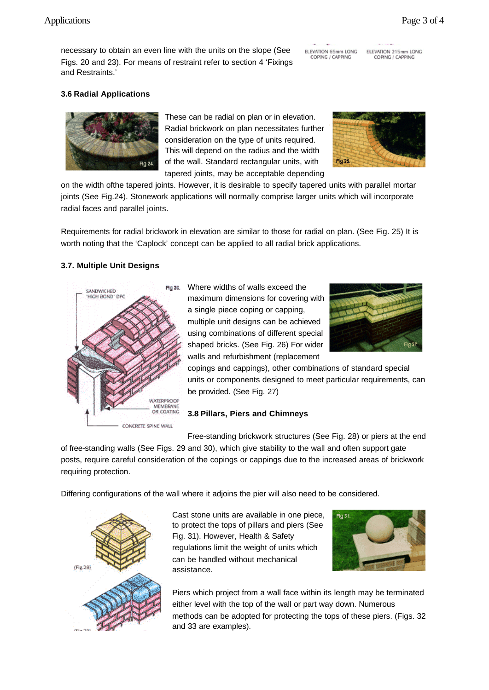## Applications Page 3 of 4

necessary to obtain an even line with the units on the slope (See Figs. 20 and 23). For means of restraint refer to section 4 'Fixings and Restraints.'

ELEVATION 65mm LONG COPING / CAPPING

ELEVATION 215mm LONG COPING / CAPPING

## **3.6 Radial Applications**



These can be radial on plan or in elevation. Radial brickwork on plan necessitates further consideration on the type of units required. This will depend on the radius and the width of the wall. Standard rectangular units, with tapered joints, may be acceptable depending



on the width ofthe tapered joints. However, it is desirable to specify tapered units with parallel mortar joints (See Fig.24). Stonework applications will normally comprise larger units which will incorporate radial faces and parallel joints.

Requirements for radial brickwork in elevation are similar to those for radial on plan. (See Fig. 25) It is worth noting that the 'Caplock' concept can be applied to all radial brick applications.

## **3.7. Multiple Unit Designs**



Hg 26. Where widths of walls exceed the maximum dimensions for covering with a single piece coping or capping, multiple unit designs can be achieved using combinations of different special shaped bricks. (See Fig. 26) For wider walls and refurbishment (replacement



copings and cappings), other combinations of standard special units or components designed to meet particular requirements, can be provided. (See Fig. 27)

#### **3.8 Pillars, Piers and Chimneys**

Free-standing brickwork structures (See Fig. 28) or piers at the end of free-standing walls (See Figs. 29 and 30), which give stability to the wall and often support gate posts, require careful consideration of the copings or cappings due to the increased areas of brickwork requiring protection.

Differing configurations of the wall where it adjoins the pier will also need to be considered.



Cast stone units are available in one piece, to protect the tops of pillars and piers (See Fig. 31). However, Health & Safety regulations limit the weight of units which can be handled without mechanical assistance.



Piers which project from a wall face within its length may be terminated either level with the top of the wall or part way down. Numerous methods can be adopted for protecting the tops of these piers. (Figs. 32 and 33 are examples).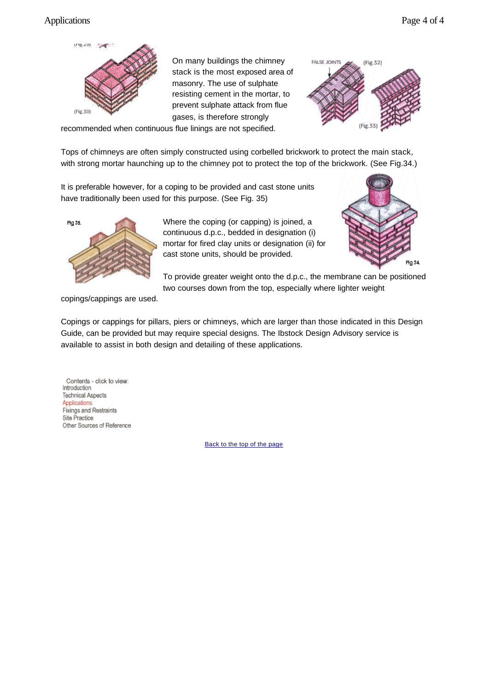## Applications Page 4 of 4



On many buildings the chimney stack is the most exposed area of masonry. The use of sulphate resisting cement in the mortar, to prevent sulphate attack from flue gases, is therefore strongly



recommended when continuous flue linings are not specified.

Tops of chimneys are often simply constructed using corbelled brickwork to protect the main stack, with strong mortar haunching up to the chimney pot to protect the top of the brickwork. (See Fig.34.)

It is preferable however, for a coping to be provided and cast stone units have traditionally been used for this purpose. (See Fig. 35)



Where the coping (or capping) is joined, a continuous d.p.c., bedded in designation (i) mortar for fired clay units or designation (ii) for cast stone units, should be provided.



To provide greater weight onto the d.p.c., the membrane can be positioned two courses down from the top, especially where lighter weight

copings/cappings are used.

Copings or cappings for pillars, piers or chimneys, which are larger than those indicated in this Design Guide, can be provided but may require special designs. The Ibstock Design Advisory service is available to assist in both design and detailing of these applications.

Contents - click to view: Introduction **Technical Aspects** Applications Fixings and Restraints Site Practice Other Sources of Reference

Back to the top of the page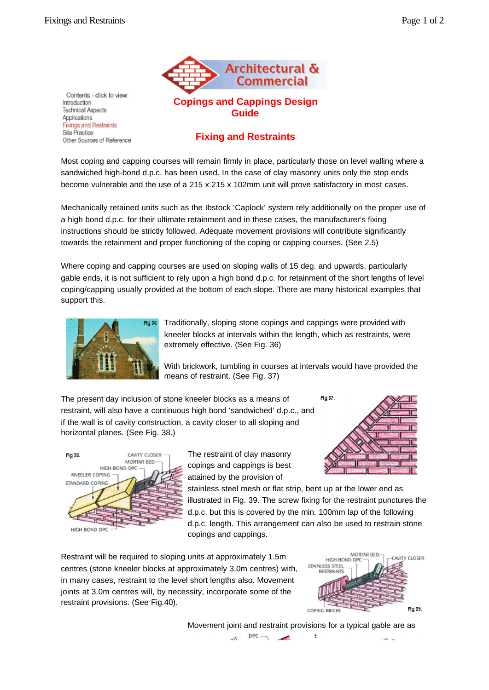

## **Fixing and Restraints**

**Guide**

Most coping and capping courses will remain firmly in place, particularly those on level walling where a sandwiched high-bond d.p.c. has been used. In the case of clay masonry units only the stop ends become vulnerable and the use of a 215 x 215 x 102mm unit will prove satisfactory in most cases.

Mechanically retained units such as the Ibstock 'Caplock' system rely additionally on the proper use of a high bond d.p.c. for their ultimate retainment and in these cases, the manufacturer's fixing instructions should be strictly followed. Adequate movement provisions will contribute significantly towards the retainment and proper functioning of the coping or capping courses. (See 2.5)

Where coping and capping courses are used on sloping walls of 15 deg. and upwards, particularly gable ends, it is not sufficient to rely upon a high bond d.p.c. for retainment of the short lengths of level coping/capping usually provided at the bottom of each slope. There are many historical examples that support this.



Traditionally, sloping stone copings and cappings were provided with kneeler blocks at intervals within the length, which as restraints, were extremely effective. (See Fig. 36)

With brickwork, tumbling in courses at intervals would have provided the means of restraint. (See Fig. 37)

The present day inclusion of stone kneeler blocks as a means of restraint, will also have a continuous high bond 'sandwiched' d.p.c., and if the wall is of cavity construction, a cavity closer to all sloping and horizontal planes. (See Fig. 38.)





The restraint of clay masonry copings and cappings is best attained by the provision of

stainless steel mesh or flat strip, bent up at the lower end as illustrated in Fig. 39. The screw fixing for the restraint punctures the d.p.c. but this is covered by the min. 100mm lap of the following d.p.c. length. This arrangement can also be used to restrain stone copings and cappings.

Restraint will be required to sloping units at approximately 1.5m centres (stone kneeler blocks at approximately 3.0m centres) with, in many cases, restraint to the level short lengths also. Movement joints at 3.0m centres will, by necessity, incorporate some of the restraint provisions. (See Fig.40).



Movement joint and restraint provisions for a typical gable are as  $DPC \rightarrow$ shown  $-85$ ت من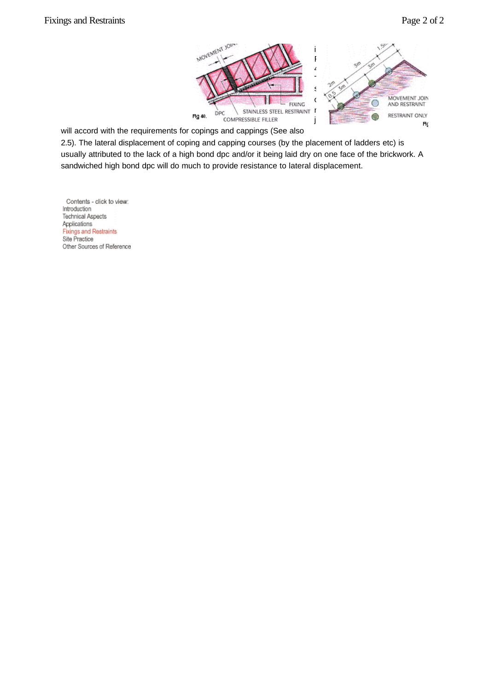

will accord with the requirements for copings and cappings (See also

2.5). The lateral displacement of coping and capping courses (by the placement of ladders etc) is usually attributed to the lack of a high bond dpc and/or it being laid dry on one face of the brickwork. A sandwiched high bond dpc will do much to provide resistance to lateral displacement.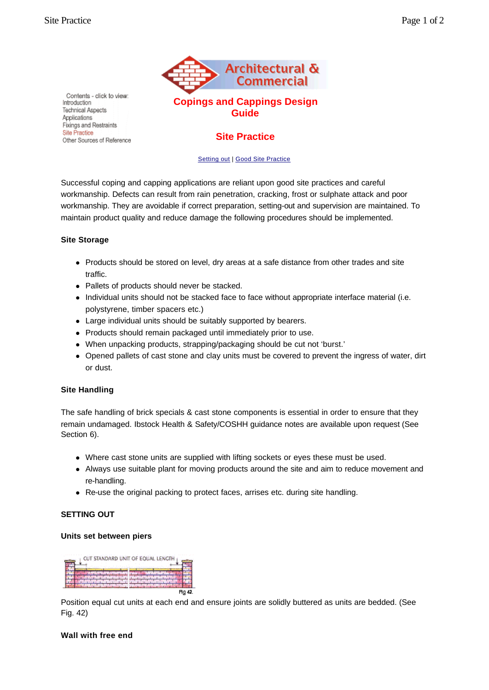

## **Site Practice**

#### Setting out | Good Site Practice

Successful coping and capping applications are reliant upon good site practices and careful workmanship. Defects can result from rain penetration, cracking, frost or sulphate attack and poor workmanship. They are avoidable if correct preparation, setting-out and supervision are maintained. To maintain product quality and reduce damage the following procedures should be implemented.

#### **Site Storage**

- Products should be stored on level, dry areas at a safe distance from other trades and site traffic.
- Pallets of products should never be stacked.
- Individual units should not be stacked face to face without appropriate interface material (i.e. polystyrene, timber spacers etc.)
- Large individual units should be suitably supported by bearers.
- Products should remain packaged until immediately prior to use.
- When unpacking products, strapping/packaging should be cut not 'burst.'
- Opened pallets of cast stone and clay units must be covered to prevent the ingress of water, dirt or dust.

## **Site Handling**

The safe handling of brick specials & cast stone components is essential in order to ensure that they remain undamaged. Ibstock Health & Safety/COSHH guidance notes are available upon request (See Section 6).

- Where cast stone units are supplied with lifting sockets or eyes these must be used.
- Always use suitable plant for moving products around the site and aim to reduce movement and re-handling.
- Re-use the original packing to protect faces, arrises etc. during site handling.

## **SETTING OUT**

## **Units set between piers**



Position equal cut units at each end and ensure joints are solidly buttered as units are bedded. (See Fig. 42)

#### **Wall with free end**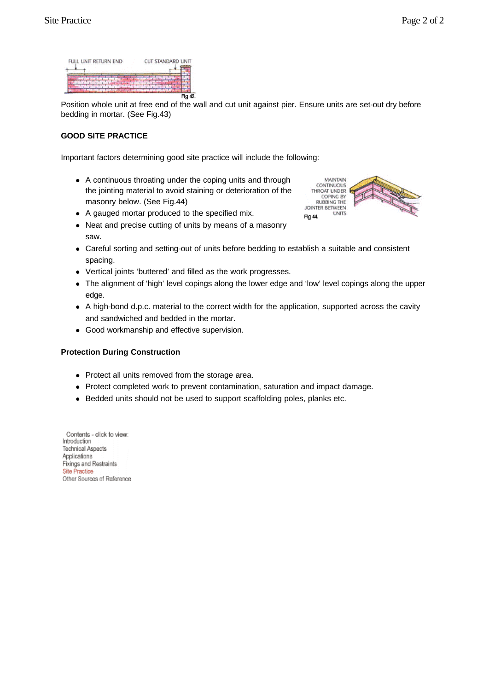| FULL UNIT RETURN END | CUT STANDARD UNIT |
|----------------------|-------------------|
|                      |                   |
|                      |                   |
|                      | 43                |

Position whole unit at free end of the wall and cut unit against pier. Ensure units are set-out dry before bedding in mortar. (See Fig.43)

## **GOOD SITE PRACTICE**

saw.

Important factors determining good site practice will include the following:

- A continuous throating under the coping units and through the jointing material to avoid staining or deterioration of the masonry below. (See Fig.44)
- A gauged mortar produced to the specified mix.
- Fig 44. • Neat and precise cutting of units by means of a masonry
- Careful sorting and setting-out of units before bedding to establish a suitable and consistent spacing.
- Vertical joints 'buttered' and filled as the work progresses.
- The alignment of 'high' level copings along the lower edge and 'low' level copings along the upper edge.
- A high-bond d.p.c. material to the correct width for the application, supported across the cavity and sandwiched and bedded in the mortar.
- Good workmanship and effective supervision.

## **Protection During Construction**

- Protect all units removed from the storage area.
- Protect completed work to prevent contamination, saturation and impact damage.
- Bedded units should not be used to support scaffolding poles, planks etc.